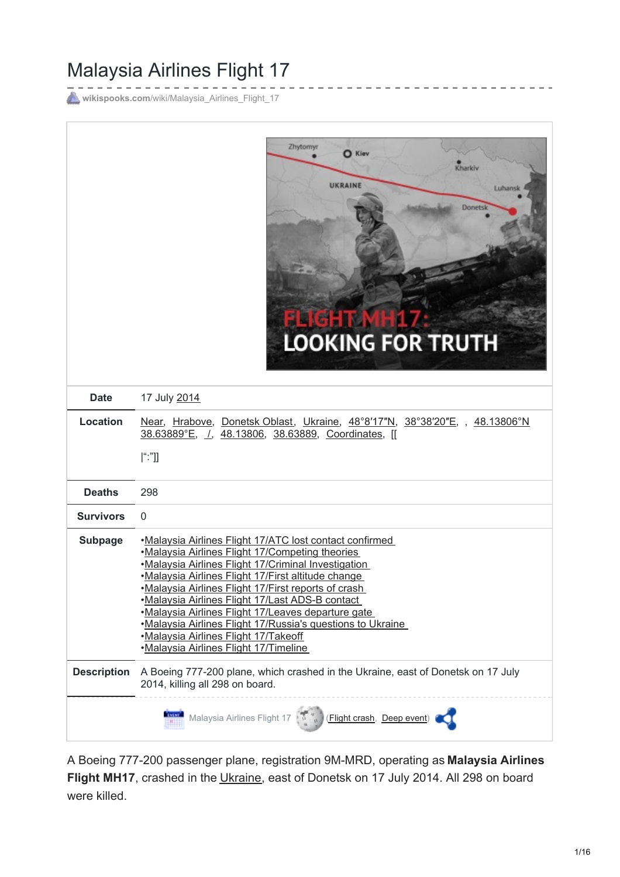# Malaysia Airlines Flight 17

wikispooks.com[/wiki/Malaysia\\_Airlines\\_Flight\\_17](https://wikispooks.com/wiki/Malaysia_Airlines_Flight_17)



A Boeing 777-200 passenger plane, registration 9M-MRD, operating as **Malaysia Airlines Flight MH17**, crashed in the [Ukraine](https://wikispooks.com/wiki/Ukraine), east of Donetsk on 17 July 2014. All 298 on board were killed.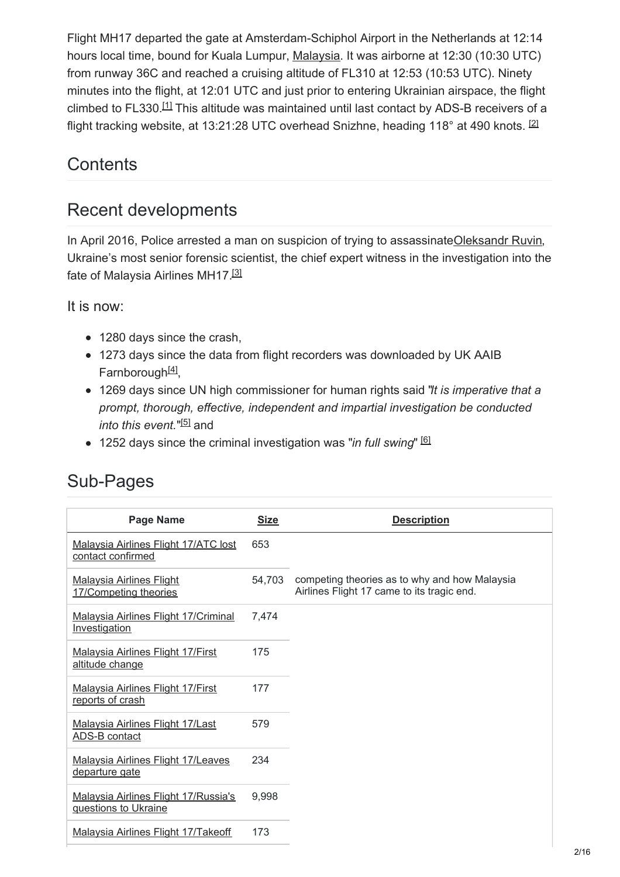Flight MH17 departed the gate at Amsterdam-Schiphol Airport in the Netherlands at 12:14 hours local time, bound for Kuala Lumpur, [Malaysia](https://wikispooks.com/wiki/Malaysia). It was airborne at 12:30 (10:30 UTC) from runway 36C and reached a cruising altitude of FL310 at 12:53 (10:53 UTC). Ninety minutes into the flight, at 12:01 UTC and just prior to entering Ukrainian airspace, the flight climbed to FL330. $11$  This altitude was maintained until last contact by ADS-B receivers of a flight tracking website, at 13:21:28 UTC overhead Snizhne, heading 118° at 490 knots.  $^{[2]}$  $^{[2]}$  $^{[2]}$ 

# <span id="page-1-1"></span><span id="page-1-0"></span>**Contents**

# Recent developments

In April 2016, Police arrested a man on suspicion of trying to assassinate Oleksandr Ruvin, Ukraine's most senior forensic scientist, the chief expert witness in the investigation into the fate of Malaysia Airlines MH17.[\[3\]](#page-14-2)

It is now:

- <span id="page-1-2"></span>• 1280 days since the crash,
- <span id="page-1-3"></span>1273 days since the data from flight recorders was downloaded by UK AAIB Farnborough<sup>[\[4\]](#page-14-3)</sup>,
- 1269 days since UN high commissioner for human rights said "*It is imperative that a prompt, thorough, effective, independent and impartial investigation be conducted into this event.*"<sup>[\[5\]](#page-14-4)</sup> and
- <span id="page-1-5"></span><span id="page-1-4"></span>1252 days since the criminal investigation was "*in full swing*" [\[6\]](#page-14-5)

| <b>Page Name</b>                                             | <b>Size</b> | <b>Description</b>                                                                          |
|--------------------------------------------------------------|-------------|---------------------------------------------------------------------------------------------|
| Malaysia Airlines Flight 17/ATC lost<br>contact confirmed    | 653         |                                                                                             |
| <b>Malaysia Airlines Flight</b><br>17/Competing theories     | 54,703      | competing theories as to why and how Malaysia<br>Airlines Flight 17 came to its tragic end. |
| <b>Malaysia Airlines Flight 17/Criminal</b><br>Investigation | 7,474       |                                                                                             |
| <b>Malaysia Airlines Flight 17/First</b><br>altitude change  | 175         |                                                                                             |
| <b>Malaysia Airlines Flight 17/First</b><br>reports of crash | 177         |                                                                                             |
| Malaysia Airlines Flight 17/Last<br>ADS-B contact            | 579         |                                                                                             |
| <b>Malaysia Airlines Flight 17/Leaves</b><br>departure gate  | 234         |                                                                                             |
| Malaysia Airlines Flight 17/Russia's<br>questions to Ukraine | 9,998       |                                                                                             |
| Malaysia Airlines Flight 17/Takeoff                          | 173         |                                                                                             |
|                                                              |             |                                                                                             |

## Sub-Pages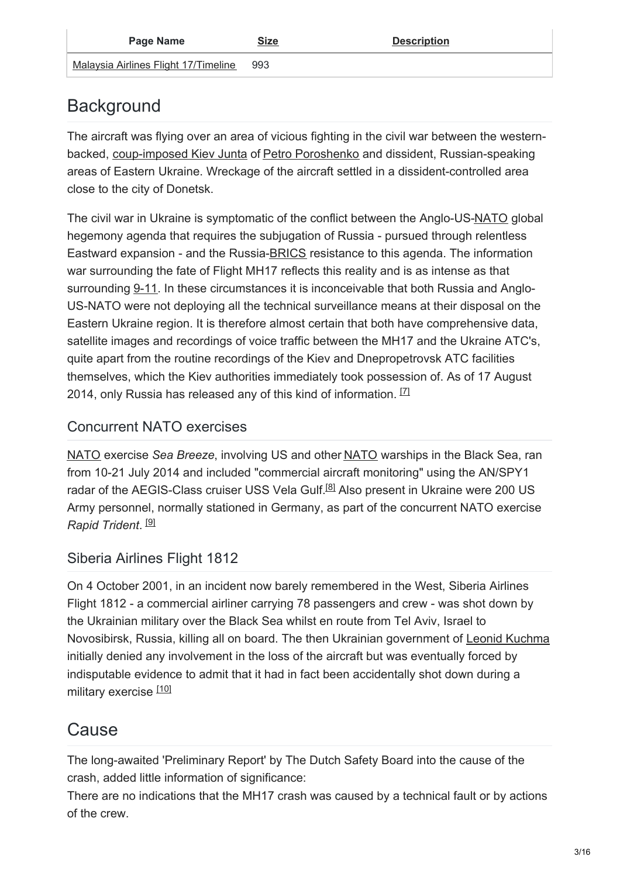| Page Name                            | <b>Size</b> | <b>Description</b> |
|--------------------------------------|-------------|--------------------|
| Malaysia Airlines Flight 17/Timeline | 993         |                    |

# **Background**

The aircraft was flying over an area of vicious fighting in the civil war between the westernbacked, [coup-imposed](https://wikispooks.com/wiki/Ukraine_coup_2014) Kiev Junta of Petro [Poroshenko](https://wikispooks.com/wiki/Petro_Poroshenko) and dissident, Russian-speaking areas of Eastern Ukraine. Wreckage of the aircraft settled in a dissident-controlled area close to the city of Donetsk.

The civil war in Ukraine is symptomatic of the conflict between the Anglo-US[-NATO](https://wikispooks.com/wiki/NATO) global hegemony agenda that requires the subjugation of Russia - pursued through relentless Eastward expansion - and the Russia-[BRICS](https://wikispooks.com/wiki/New_Development_Bank) resistance to this agenda. The information war surrounding the fate of Flight MH17 reflects this reality and is as intense as that surrounding [9-11](https://wikispooks.com/wiki/9-11). In these circumstances it is inconceivable that both Russia and Anglo-US-NATO were not deploying all the technical surveillance means at their disposal on the Eastern Ukraine region. It is therefore almost certain that both have comprehensive data, satellite images and recordings of voice traffic between the MH17 and the Ukraine ATC's, quite apart from the routine recordings of the Kiev and Dnepropetrovsk ATC facilities themselves, which the Kiev authorities immediately took possession of. As of 17 August 2014, only Russia has released any of this kind of information.  $1/1$ 

## <span id="page-2-0"></span>Concurrent NATO exercises

<span id="page-2-1"></span>[NATO](https://wikispooks.com/wiki/NATO) exercise *Sea Breeze*, involving US and other [NATO](https://wikispooks.com/wiki/NATO) warships in the Black Sea, ran from 10-21 July 2014 and included "commercial aircraft monitoring" using the AN/SPY1 radar of the AEGIS-Class cruiser USS Vela Gulf.<sup>[\[8\]](#page-14-7)</sup> Also present in Ukraine were 200 US Army personnel, normally stationed in Germany, as part of the concurrent NATO exercise *Rapid Trident*. [\[9\]](#page-14-8)

## <span id="page-2-2"></span>Siberia Airlines Flight 1812

On 4 October 2001, in an incident now barely remembered in the West, Siberia Airlines Flight 1812 - a commercial airliner carrying 78 passengers and crew - was shot down by the Ukrainian military over the Black Sea whilst en route from Tel Aviv, Israel to Novosibirsk, Russia, killing all on board. The then Ukrainian government of Leonid [Kuchma](https://wikispooks.com/w/index.php?title=Leonid_Kuchma&action=edit&redlink=1) initially denied any involvement in the loss of the aircraft but was eventually forced by indisputable evidence to admit that it had in fact been accidentally shot down during a military exercise [\[10\]](#page-14-9)

## <span id="page-2-3"></span>Cause

The long-awaited 'Preliminary Report' by The Dutch Safety Board into the cause of the crash, added little information of significance:

There are no indications that the MH17 crash was caused by a technical fault or by actions of the crew.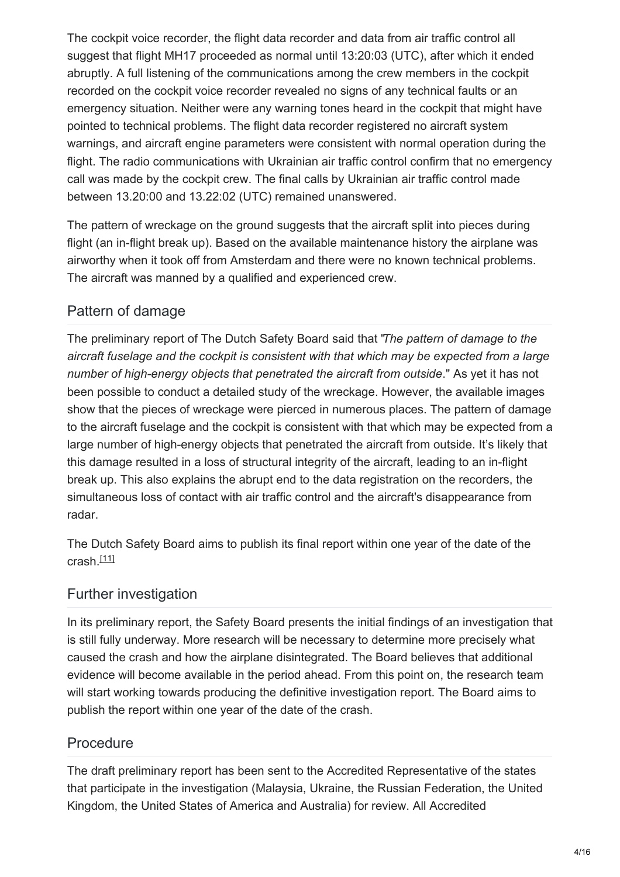The cockpit voice recorder, the flight data recorder and data from air traffic control all suggest that flight MH17 proceeded as normal until 13:20:03 (UTC), after which it ended abruptly. A full listening of the communications among the crew members in the cockpit recorded on the cockpit voice recorder revealed no signs of any technical faults or an emergency situation. Neither were any warning tones heard in the cockpit that might have pointed to technical problems. The flight data recorder registered no aircraft system warnings, and aircraft engine parameters were consistent with normal operation during the flight. The radio communications with Ukrainian air traffic control confirm that no emergency call was made by the cockpit crew. The final calls by Ukrainian air traffic control made between 13.20:00 and 13.22:02 (UTC) remained unanswered.

The pattern of wreckage on the ground suggests that the aircraft split into pieces during flight (an in-flight break up). Based on the available maintenance history the airplane was airworthy when it took off from Amsterdam and there were no known technical problems. The aircraft was manned by a qualified and experienced crew.

## Pattern of damage

The preliminary report of The Dutch Safety Board said that "*The pattern of damage to the aircraft fuselage and the cockpit is consistent with that which may be expected from a large number of high-energy objects that penetrated the aircraft from outside*." As yet it has not been possible to conduct a detailed study of the wreckage. However, the available images show that the pieces of wreckage were pierced in numerous places. The pattern of damage to the aircraft fuselage and the cockpit is consistent with that which may be expected from a large number of high-energy objects that penetrated the aircraft from outside. It's likely that this damage resulted in a loss of structural integrity of the aircraft, leading to an in-flight break up. This also explains the abrupt end to the data registration on the recorders, the simultaneous loss of contact with air traffic control and the aircraft's disappearance from radar.

<span id="page-3-0"></span>The Dutch Safety Board aims to publish its final report within one year of the date of the crash.<sup>[\[11\]](#page-14-10)</sup>

## Further investigation

In its preliminary report, the Safety Board presents the initial findings of an investigation that is still fully underway. More research will be necessary to determine more precisely what caused the crash and how the airplane disintegrated. The Board believes that additional evidence will become available in the period ahead. From this point on, the research team will start working towards producing the definitive investigation report. The Board aims to publish the report within one year of the date of the crash.

## Procedure

The draft preliminary report has been sent to the Accredited Representative of the states that participate in the investigation (Malaysia, Ukraine, the Russian Federation, the United Kingdom, the United States of America and Australia) for review. All Accredited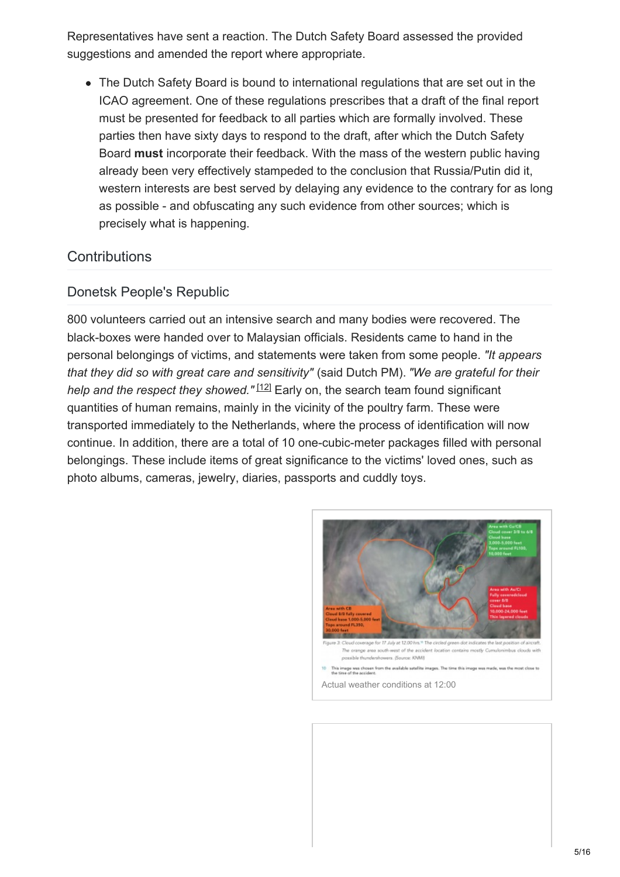Representatives have sent a reaction. The Dutch Safety Board assessed the provided suggestions and amended the report where appropriate.

The Dutch Safety Board is bound to international regulations that are set out in the ICAO agreement. One of these regulations prescribes that a draft of the final report must be presented for feedback to all parties which are formally involved. These parties then have sixty days to respond to the draft, after which the Dutch Safety Board **must** incorporate their feedback. With the mass of the western public having already been very effectively stampeded to the conclusion that Russia/Putin did it, western interests are best served by delaying any evidence to the contrary for as long as possible - and obfuscating any such evidence from other sources; which is precisely what is happening.

### **Contributions**

#### Donetsk People's Republic

800 volunteers carried out an intensive search and many bodies were recovered. The black-boxes were handed over to Malaysian officials. Residents came to hand in the personal belongings of victims, and statements were taken from some people. *"It appears that they did so with great care and sensitivity"* (said Dutch PM). *"We are grateful for their* help and the respect they showed."<sup>[\[12\]](#page-14-11)</sup> Early on, the search team found significant quantities of human remains, mainly in the vicinity of the poultry farm. These were transported immediately to the Netherlands, where the process of identification will now continue. In addition, there are a total of 10 one-cubic-meter packages filled with personal belongings. These include items of great significance to the victims' loved ones, such as photo albums, cameras, jewelry, diaries, passports and cuddly toys.

<span id="page-4-0"></span>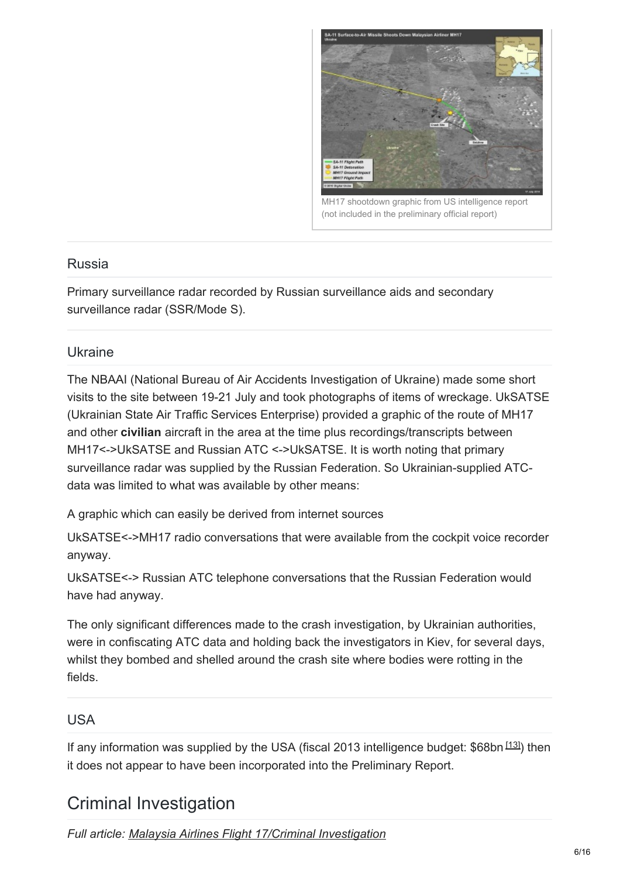

7 shootdown graphic from US intelligence report (not included in the preliminary official report)

#### Russia

Primary surveillance radar recorded by Russian surveillance aids and secondary surveillance radar (SSR/Mode S).

#### Ukraine

The NBAAI (National Bureau of Air Accidents Investigation of Ukraine) made some short visits to the site between 19-21 July and took photographs of items of wreckage. UkSATSE (Ukrainian State Air Traffic Services Enterprise) provided a graphic of the route of MH17 and other **civilian** aircraft in the area at the time plus recordings/transcripts between MH17<->UkSATSE and Russian ATC <->UkSATSE. It is worth noting that primary surveillance radar was supplied by the Russian Federation. So Ukrainian-supplied ATCdata was limited to what was available by other means:

A graphic which can easily be derived from internet sources

UkSATSE<->MH17 radio conversations that were available from the cockpit voice recorder anyway.

UkSATSE<-> Russian ATC telephone conversations that the Russian Federation would have had anyway.

The only significant differences made to the crash investigation, by Ukrainian authorities, were in confiscating ATC data and holding back the investigators in Kiev, for several days, whilst they bombed and shelled around the crash site where bodies were rotting in the fields.

#### USA

<span id="page-5-0"></span>If any information was supplied by the USA (fiscal 2013 intelligence budget: \$68bn <sup>[\[13\]](#page-14-12)</sup>) then it does not appear to have been incorporated into the Preliminary Report.

## Criminal Investigation

*Full article: Malaysia Airlines Flight 17/Criminal [Investigation](https://wikispooks.com/wiki/Malaysia_Airlines_Flight_17/Criminal_Investigation)*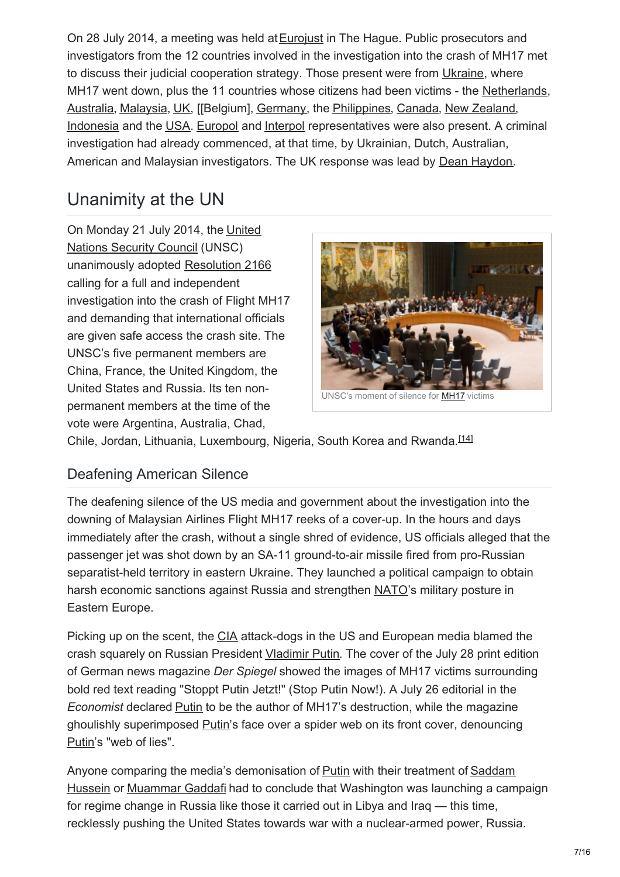On 28 July 2014, a meeting was held at **[Eurojust](https://wikispooks.com/w/index.php?title=Eurojust&action=edit&redlink=1)** in The Hague. Public prosecutors and investigators from the 12 countries involved in the investigation into the crash of MH17 met to discuss their judicial cooperation strategy. Those present were from [Ukraine](https://wikispooks.com/wiki/Ukraine), where MH17 went down, plus the 11 countries whose citizens had been victims - the [Netherlands](https://wikispooks.com/wiki/Netherlands), [Australia](https://wikispooks.com/wiki/Australia), [Malaysia](https://wikispooks.com/wiki/Malaysia), [UK](https://wikispooks.com/wiki/UK), [[Belgium], [Germany](https://wikispooks.com/wiki/Germany), the [Philippines](https://wikispooks.com/wiki/Philippines), [Canada](https://wikispooks.com/wiki/Canada), New [Zealand](https://wikispooks.com/wiki/New_Zealand), [Indonesia](https://wikispooks.com/wiki/Indonesia) and the [USA](https://wikispooks.com/wiki/USA). [Europol](https://wikispooks.com/wiki/Europol) and [Interpol](https://wikispooks.com/wiki/Interpol) representatives were also present. A criminal investigation had already commenced, at that time, by Ukrainian, Dutch, Australian, American and Malaysian investigators. The UK response was lead by Dean [Haydon](https://wikispooks.com/wiki/Dean_Haydon).

# Unanimity at the UN

On [Monday](https://wikispooks.com/wiki/United_Nations_Security_Council) 21 July 2014, the United Nations Security Council (UNSC) unanimously adopted [Resolution](https://wikispooks.com/wiki/Document:United_Nations_Security_Council_Resolution_2166) 2166 calling for a full and independent investigation into the crash of Flight MH17 and demanding that international officials are given safe access the crash site. The UNSC's five permanent members are China, France, the United Kingdom, the United States and Russia. Its ten nonpermanent members at the time of the vote were Argentina, Australia, Chad,

<span id="page-6-0"></span>

Chile, Jordan, Lithuania, Luxembourg, Nigeria, South Korea and Rwanda.<sup>[\[14\]](#page-14-13)</sup>

## Deafening American Silence

The deafening silence of the US media and government about the investigation into the downing of Malaysian Airlines Flight MH17 reeks of a cover-up. In the hours and days immediately after the crash, without a single shred of evidence, US officials alleged that the passenger jet was shot down by an SA-11 ground-to-air missile fired from pro-Russian separatist-held territory in eastern Ukraine. They launched a political campaign to obtain harsh economic sanctions against Russia and strengthen [NATO](https://wikispooks.com/wiki/NATO)'s military posture in Eastern Europe.

Picking up on the scent, the [CIA](https://wikispooks.com/wiki/CIA) attack-dogs in the US and European media blamed the crash squarely on Russian President [Vladimir](https://wikispooks.com/wiki/Vladimir_Putin) Putin. The cover of the July 28 print edition of German news magazine *Der Spiegel* showed the images of MH17 victims surrounding bold red text reading "Stoppt Putin Jetzt!" (Stop Putin Now!). A July 26 editorial in the *Economist* declared [Putin](https://wikispooks.com/wiki/Vladimir_Putin) to be the author of MH17's destruction, while the magazine ghoulishly superimposed [Putin](https://wikispooks.com/wiki/Vladimir_Putin)'s face over a spider web on its front cover, denouncing [Putin](https://wikispooks.com/wiki/Vladimir_Putin)'s "web of lies".

Anyone comparing the media's [demonisation](https://wikispooks.com/wiki/Saddam_Hussein) of [Putin](https://wikispooks.com/wiki/Vladimir_Putin) with their treatment of Saddam Hussein or [Muammar](https://wikispooks.com/wiki/Muammar_Gaddafi) Gaddafi had to conclude that Washington was launching a campaign for regime change in Russia like those it carried out in Libya and Iraq — this time, recklessly pushing the United States towards war with a nuclear-armed power, Russia.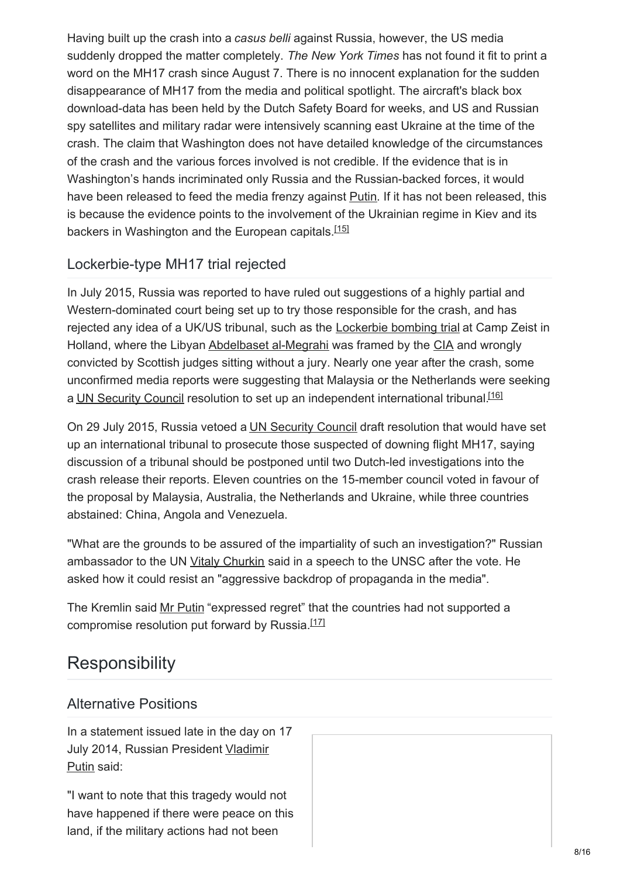Having built up the crash into a *casus belli* against Russia, however, the US media suddenly dropped the matter completely. *The New York Times* has not found it fit to print a word on the MH17 crash since August 7. There is no innocent explanation for the sudden disappearance of MH17 from the media and political spotlight. The aircraft's black box download-data has been held by the Dutch Safety Board for weeks, and US and Russian spy satellites and military radar were intensively scanning east Ukraine at the time of the crash. The claim that Washington does not have detailed knowledge of the circumstances of the crash and the various forces involved is not credible. If the evidence that is in Washington's hands incriminated only Russia and the Russian-backed forces, it would have been released to feed the media frenzy against **[Putin](https://wikispooks.com/wiki/Vladimir_Putin).** If it has not been released, this is because the evidence points to the involvement of the Ukrainian regime in Kiev and its backers in Washington and the European capitals.<sup>[\[15\]](#page-14-14)</sup>

## <span id="page-7-0"></span>Lockerbie-type MH17 trial rejected

In July 2015, Russia was reported to have ruled out suggestions of a highly partial and Western-dominated court being set up to try those responsible for the crash, and has rejected any idea of a UK/US tribunal, such as the [Lockerbie](https://wikispooks.com/wiki/Pan_Am_Flight_103/The_Trial) bombing trial at Camp Zeist in Holland, where the Libyan [Abdelbaset](https://wikispooks.com/wiki/Abdelbaset_al-Megrahi) al-Megrahi was framed by the [CIA](https://wikispooks.com/wiki/CIA) and wrongly convicted by Scottish judges sitting without a jury. Nearly one year after the crash, some unconfirmed media reports were suggesting that Malaysia or the Netherlands were seeking a UN [Security](https://wikispooks.com/wiki/UN_Security_Council) Council resolution to set up an independent international tribunal.<sup>[\[16\]](#page-14-15)</sup>

On 29 July 2015, Russia vetoed a UN [Security](https://wikispooks.com/wiki/UN_Security_Council) Council draft resolution that would have set up an international tribunal to prosecute those suspected of downing flight MH17, saying discussion of a tribunal should be postponed until two Dutch-led investigations into the crash release their reports. Eleven countries on the 15-member council voted in favour of the proposal by Malaysia, Australia, the Netherlands and Ukraine, while three countries abstained: China, Angola and Venezuela.

"What are the grounds to be assured of the impartiality of such an investigation?" Russian ambassador to the UN Vitaly [Churkin](https://wikispooks.com/wiki/Vitaly_Churkin) said in a speech to the UNSC after the vote. He asked how it could resist an "aggressive backdrop of propaganda in the media".

The Kremlin said Mr [Putin](https://wikispooks.com/wiki/Vladimir_Putin) "expressed regret" that the countries had not supported a compromise resolution put forward by Russia.<sup>[\[17\]](#page-14-16)</sup>

# **Responsibility**

## Alternative Positions

In a statement issued late in the day on 17 July 2014, Russian [President](https://wikispooks.com/wiki/Vladimir_Putin) Vladimir Putin said:

"I want to note that this tragedy would not have happened if there were peace on this land, if the military actions had not been

<span id="page-7-2"></span><span id="page-7-1"></span>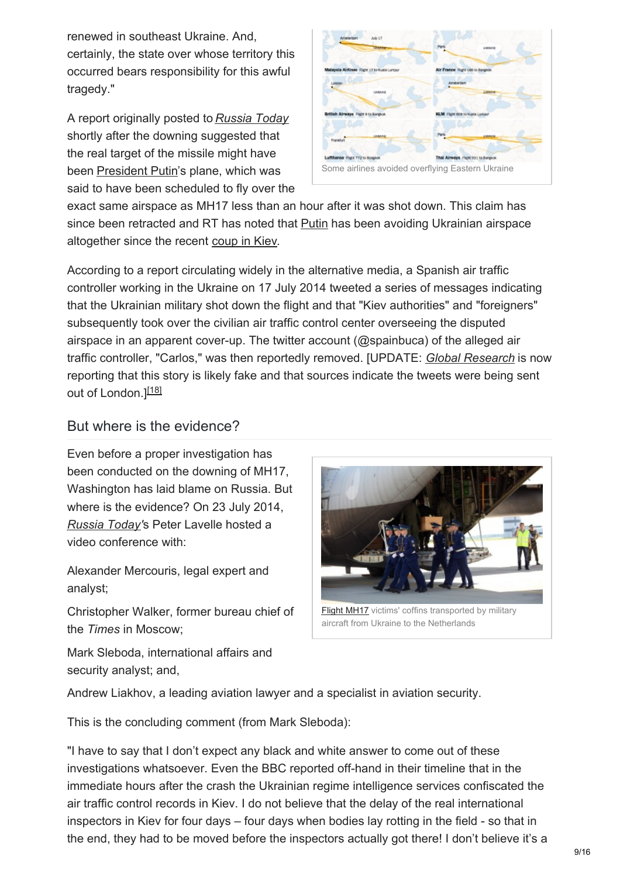renewed in southeast Ukraine. And, certainly, the state over whose territory this occurred bears responsibility for this awful tragedy."

A report originally posted to *[Russia](https://wikispooks.com/wiki/Russia_Today) Today* shortly after the downing suggested that the real target of the missile might have been [President](https://wikispooks.com/wiki/Vladimir_Putin) Putin's plane, which was said to have been scheduled to fly over the



exact same airspace as MH17 less than an hour after it was shot down. This claim has since been retracted and RT has noted that [Putin](https://wikispooks.com/wiki/Vladimir_Putin) has been avoiding Ukrainian airspace altogether since the recent [coup](https://wikispooks.com/wiki/Ukraine_coup_2014) in Kiev.

According to a report circulating widely in the alternative media, a Spanish air traffic controller working in the Ukraine on 17 July 2014 tweeted a series of messages indicating that the Ukrainian military shot down the flight and that "Kiev authorities" and "foreigners" subsequently took over the civilian air traffic control center overseeing the disputed airspace in an apparent cover-up. The twitter account (@spainbuca) of the alleged air traffic controller, "Carlos," was then reportedly removed. [UPDATE: *Global [Research](https://wikispooks.com/wiki/Global_Research)* is now reporting that this story is likely fake and that sources indicate the tweets were being sent out of London.]<sup>[\[18\]](#page-14-17)</sup>

#### <span id="page-8-0"></span>But where is the evidence?

Even before a proper investigation has been conducted on the downing of MH17, Washington has laid blame on Russia. But where is the evidence? On 23 July 2014, *[Russia](https://wikispooks.com/wiki/Russia_Today) Today'*s Peter Lavelle hosted a video conference with:

Alexander Mercouris, legal expert and analyst;

Christopher Walker, former bureau chief of the *Times* in Moscow;



aircraft from Ukraine to the Netherlands

Mark Sleboda, international affairs and security analyst; and,

Andrew Liakhov, a leading aviation lawyer and a specialist in aviation security.

This is the concluding comment (from Mark Sleboda):

"I have to say that I don't expect any black and white answer to come out of these investigations whatsoever. Even the BBC reported off-hand in their timeline that in the immediate hours after the crash the Ukrainian regime intelligence services confiscated the air traffic control records in Kiev. I do not believe that the delay of the real international inspectors in Kiev for four days – four days when bodies lay rotting in the field - so that in the end, they had to be moved before the inspectors actually got there! I don't believe it's a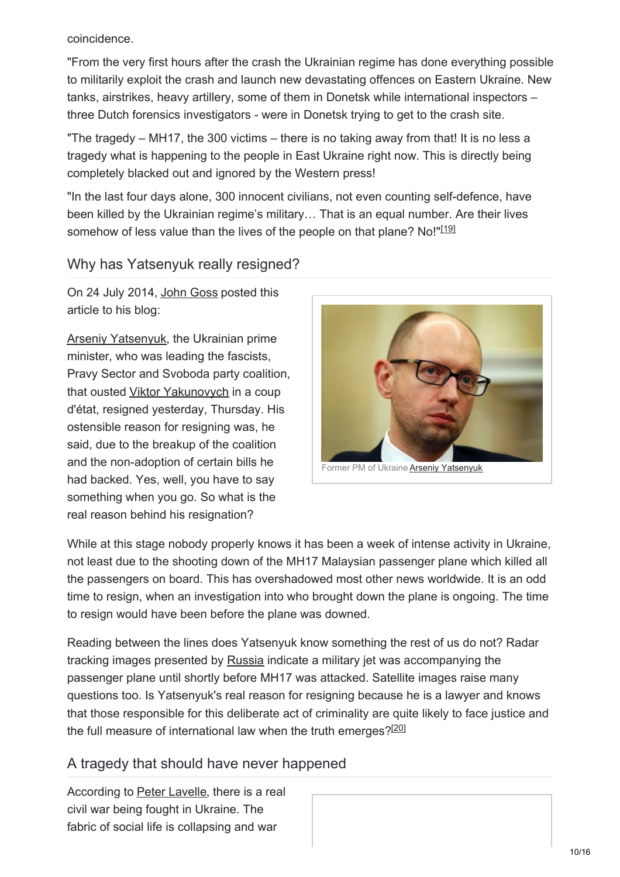coincidence.

"From the very first hours after the crash the Ukrainian regime has done everything possible to militarily exploit the crash and launch new devastating offences on Eastern Ukraine. New tanks, airstrikes, heavy artillery, some of them in Donetsk while international inspectors – three Dutch forensics investigators - were in Donetsk trying to get to the crash site.

"The tragedy – MH17, the 300 victims – there is no taking away from that! It is no less a tragedy what is happening to the people in East Ukraine right now. This is directly being completely blacked out and ignored by the Western press!

"In the last four days alone, 300 innocent civilians, not even counting self-defence, have been killed by the Ukrainian regime's military… That is an equal number. Are their lives somehow of less value than the lives of the people on that plane? No!"[\[19\]](#page-14-18)

## Why has Yatsenyuk really resigned?

On 24 July 2014, John [Goss](https://wikispooks.com/wiki/John_Goss) posted this article to his blog:

Arseniy [Yatsenyuk](https://wikispooks.com/wiki/Arseniy_Yatsenyuk), the Ukrainian prime minister, who was leading the fascists, Pravy Sector and Svoboda party coalition, that ousted Viktor [Yakunovych](https://wikispooks.com/w/index.php?title=Viktor_Yakunovych&action=edit&redlink=1) in a coup d'état, resigned yesterday, Thursday. His ostensible reason for resigning was, he said, due to the breakup of the coalition and the non-adoption of certain bills he had backed. Yes, well, you have to say something when you go. So what is the real reason behind his resignation?

<span id="page-9-0"></span>

While at this stage nobody properly knows it has been a week of intense activity in Ukraine, not least due to the shooting down of the MH17 Malaysian passenger plane which killed all the passengers on board. This has overshadowed most other news worldwide. It is an odd time to resign, when an investigation into who brought down the plane is ongoing. The time to resign would have been before the plane was downed.

Reading between the lines does Yatsenyuk know something the rest of us do not? Radar tracking images presented by [Russia](https://wikispooks.com/wiki/Russia) indicate a military jet was accompanying the passenger plane until shortly before MH17 was attacked. Satellite images raise many questions too. Is Yatsenyuk's real reason for resigning because he is a lawyer and knows that those responsible for this deliberate act of criminality are quite likely to face justice and the full measure of international law when the truth emerges?<sup>[\[20\]](#page-14-19)</sup>

## <span id="page-9-1"></span>A tragedy that should have never happened

According to Peter [Lavelle](https://wikispooks.com/wiki/Peter_Lavelle), there is a real civil war being fought in Ukraine. The fabric of social life is collapsing and war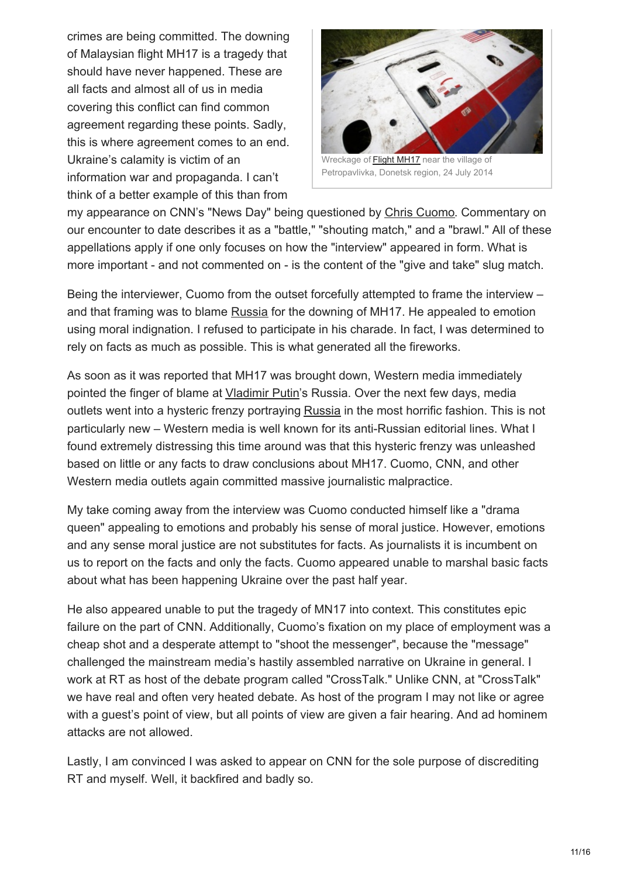crimes are being committed. The downing of Malaysian flight MH17 is a tragedy that should have never happened. These are all facts and almost all of us in media covering this conflict can find common agreement regarding these points. Sadly, this is where agreement comes to an end. Ukraine's calamity is victim of an information war and propaganda. I can't think of a better example of this than from



Petropavlivka, Donetsk region, 24 July 2014

my appearance on CNN's "News Day" being questioned by Chris [Cuomo](https://wikispooks.com/wiki/Chris_Cuomo). Commentary on our encounter to date describes it as a "battle," "shouting match," and a "brawl." All of these appellations apply if one only focuses on how the "interview" appeared in form. What is more important - and not commented on - is the content of the "give and take" slug match.

Being the interviewer, Cuomo from the outset forcefully attempted to frame the interview – and that framing was to blame [Russia](https://wikispooks.com/wiki/Russia) for the downing of MH17. He appealed to emotion using moral indignation. I refused to participate in his charade. In fact, I was determined to rely on facts as much as possible. This is what generated all the fireworks.

As soon as it was reported that MH17 was brought down, Western media immediately pointed the finger of blame at [Vladimir](https://wikispooks.com/wiki/Vladimir_Putin) Putin's Russia. Over the next few days, media outlets went into a hysteric frenzy portraying [Russia](https://wikispooks.com/wiki/Russia) in the most horrific fashion. This is not particularly new – Western media is well known for its anti-Russian editorial lines. What I found extremely distressing this time around was that this hysteric frenzy was unleashed based on little or any facts to draw conclusions about MH17. Cuomo, CNN, and other Western media outlets again committed massive journalistic malpractice.

My take coming away from the interview was Cuomo conducted himself like a "drama queen" appealing to emotions and probably his sense of moral justice. However, emotions and any sense moral justice are not substitutes for facts. As journalists it is incumbent on us to report on the facts and only the facts. Cuomo appeared unable to marshal basic facts about what has been happening Ukraine over the past half year.

He also appeared unable to put the tragedy of MN17 into context. This constitutes epic failure on the part of CNN. Additionally, Cuomo's fixation on my place of employment was a cheap shot and a desperate attempt to "shoot the messenger", because the "message" challenged the mainstream media's hastily assembled narrative on Ukraine in general. I work at RT as host of the debate program called "CrossTalk." Unlike CNN, at "CrossTalk" we have real and often very heated debate. As host of the program I may not like or agree with a guest's point of view, but all points of view are given a fair hearing. And ad hominem attacks are not allowed.

Lastly, I am convinced I was asked to appear on CNN for the sole purpose of discrediting RT and myself. Well, it backfired and badly so.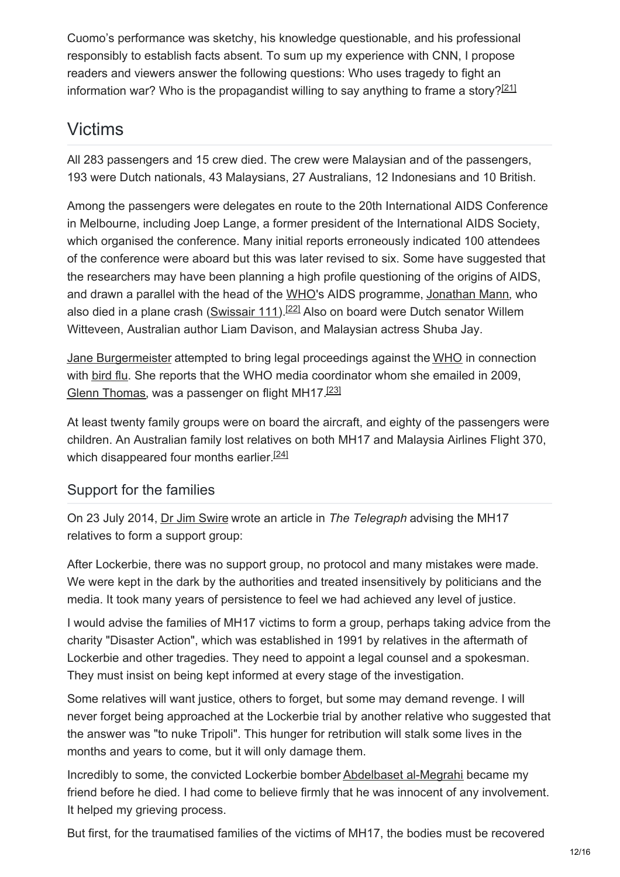Cuomo's performance was sketchy, his knowledge questionable, and his professional responsibly to establish facts absent. To sum up my experience with CNN, I propose readers and viewers answer the following questions: Who uses tragedy to fight an information war? Who is the propagandist willing to say anything to frame a story?<sup>[\[21\]](#page-14-20)</sup>

# <span id="page-11-0"></span>Victims

All 283 passengers and 15 crew died. The crew were Malaysian and of the passengers, 193 were Dutch nationals, 43 Malaysians, 27 Australians, 12 Indonesians and 10 British.

Among the passengers were delegates en route to the 20th International AIDS Conference in Melbourne, including Joep Lange, a former president of the International AIDS Society, which organised the conference. Many initial reports erroneously indicated 100 attendees of the conference were aboard but this was later revised to six. Some have suggested that the researchers may have been planning a high profile questioning of the origins of AIDS, and drawn a parallel with the head of the [WHO](https://wikispooks.com/wiki/WHO)'s AIDS programme, [Jonathan](https://wikispooks.com/w/index.php?title=Jonathan_Mann&action=edit&redlink=1) Mann, who also died in a plane crash [\(Swissair](https://wikispooks.com/w/index.php?title=Swissair_111&action=edit&redlink=1) 111).<sup>[\[22\]](#page-14-21)</sup> Also on board were Dutch senator Willem Witteveen, Australian author Liam Davison, and Malaysian actress Shuba Jay.

<span id="page-11-1"></span>Jane [Burgermeister](https://wikispooks.com/wiki/Jane_Burgermeister) attempted to bring legal proceedings against the [WHO](https://wikispooks.com/wiki/WHO) in connection with [bird](https://wikispooks.com/w/index.php?title=Bird_flu&action=edit&redlink=1) flu. She reports that the WHO media coordinator whom she emailed in 2009, Glenn [Thomas](https://wikispooks.com/w/index.php?title=Glenn_Thomas&action=edit&redlink=1), was a passenger on flight MH17.<sup>[\[23\]](#page-14-22)</sup>

<span id="page-11-2"></span>At least twenty family groups were on board the aircraft, and eighty of the passengers were children. An Australian family lost relatives on both MH17 and Malaysia Airlines Flight 370, which disappeared four months earlier.<sup>[\[24\]](#page-14-23)</sup>

## <span id="page-11-3"></span>Support for the families

On 23 July 2014, Dr Jim [Swire](https://wikispooks.com/wiki/Dr_Jim_Swire) wrote an article in *The Telegraph* advising the MH17 relatives to form a support group:

After Lockerbie, there was no support group, no protocol and many mistakes were made. We were kept in the dark by the authorities and treated insensitively by politicians and the media. It took many years of persistence to feel we had achieved any level of justice.

I would advise the families of MH17 victims to form a group, perhaps taking advice from the charity "Disaster Action", which was established in 1991 by relatives in the aftermath of Lockerbie and other tragedies. They need to appoint a legal counsel and a spokesman. They must insist on being kept informed at every stage of the investigation.

Some relatives will want justice, others to forget, but some may demand revenge. I will never forget being approached at the Lockerbie trial by another relative who suggested that the answer was "to nuke Tripoli". This hunger for retribution will stalk some lives in the months and years to come, but it will only damage them.

Incredibly to some, the convicted Lockerbie bomber [Abdelbaset](https://wikispooks.com/wiki/Abdelbaset_al-Megrahi) al-Megrahi became my friend before he died. I had come to believe firmly that he was innocent of any involvement. It helped my grieving process.

But first, for the traumatised families of the victims of MH17, the bodies must be recovered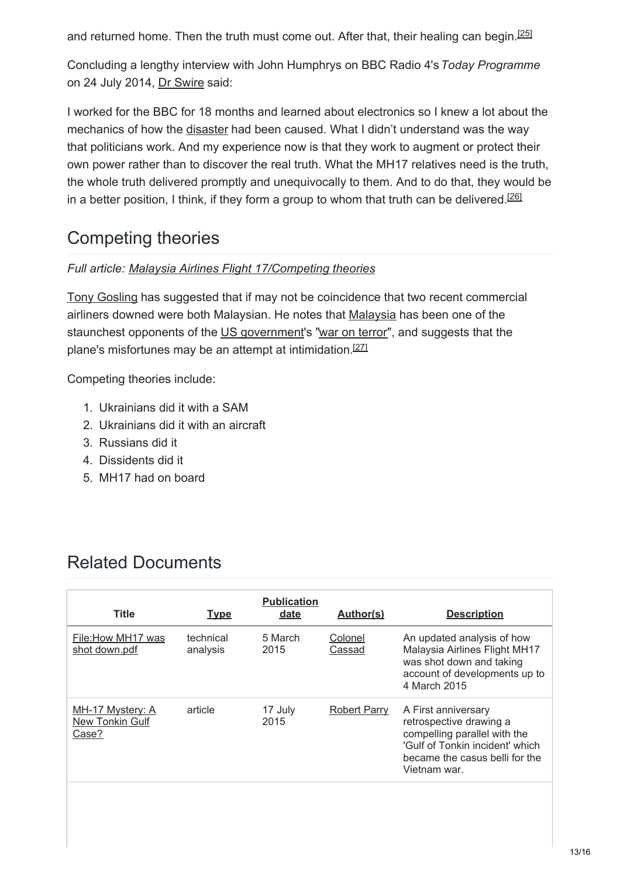<span id="page-12-0"></span>and returned home. Then the truth must come out. After that, their healing can begin.<sup>[\[25\]](#page-14-24)</sup>

Concluding a lengthy interview with John Humphrys on BBC Radio 4's*Today Programme* on 24 July 2014, Dr [Swire](https://wikispooks.com/wiki/Dr_Swire) said:

I worked for the BBC for 18 months and learned about electronics so I knew a lot about the mechanics of how the [disaster](https://wikispooks.com/wiki/Pan_Am_Flight_103) had been caused. What I didn't understand was the way that politicians work. And my experience now is that they work to augment or protect their own power rather than to discover the real truth. What the MH17 relatives need is the truth, the whole truth delivered promptly and unequivocally to them. And to do that, they would be in a better position, I think, if they form a group to whom that truth can be delivered.<sup>[\[26\]](#page-14-25)</sup>

# <span id="page-12-1"></span>Competing theories

#### *Full article: Malaysia Airlines Flight [17/Competing](https://wikispooks.com/wiki/Malaysia_Airlines_Flight_17/Competing_theories) theories*

Tony [Gosling](https://wikispooks.com/wiki/Tony_Gosling) has suggested that if may not be coincidence that two recent commercial airliners downed were both Malaysian. He notes that [Malaysia](https://wikispooks.com/wiki/Malaysia) has been one of the staunchest opponents of the US [government](https://wikispooks.com/wiki/US_government)'s "war on [terror](https://wikispooks.com/wiki/War_on_terror)", and suggests that the plane's misfortunes may be an attempt at intimidation.<sup>[\[27\]](#page-15-0)</sup>

Competing theories include:

- <span id="page-12-2"></span>1. Ukrainians did it with a SAM
- 2. Ukrainians did it with an aircraft
- 3. Russians did it
- 4. Dissidents did it
- 5. MH17 had on board

## Related Documents

| <b>Title</b>                                 | <b>Type</b>           | <b>Publication</b><br><u>date</u> | Author(s)         | <b>Description</b>                                                                                                                                                  |
|----------------------------------------------|-----------------------|-----------------------------------|-------------------|---------------------------------------------------------------------------------------------------------------------------------------------------------------------|
| File: How MH17 was<br>shot down.pdf          | technical<br>analysis | 5 March<br>2015                   | Colonel<br>Cassad | An updated analysis of how<br>Malaysia Airlines Flight MH17<br>was shot down and taking<br>account of developments up to<br>4 March 2015                            |
| MH-17 Mystery: A<br>New Tonkin Gulf<br>Case? | article               | 17 July<br>2015                   | Robert Parry      | A First anniversary<br>retrospective drawing a<br>compelling parallel with the<br>'Gulf of Tonkin incident' which<br>became the casus belli for the<br>Vietnam war. |
|                                              |                       |                                   |                   |                                                                                                                                                                     |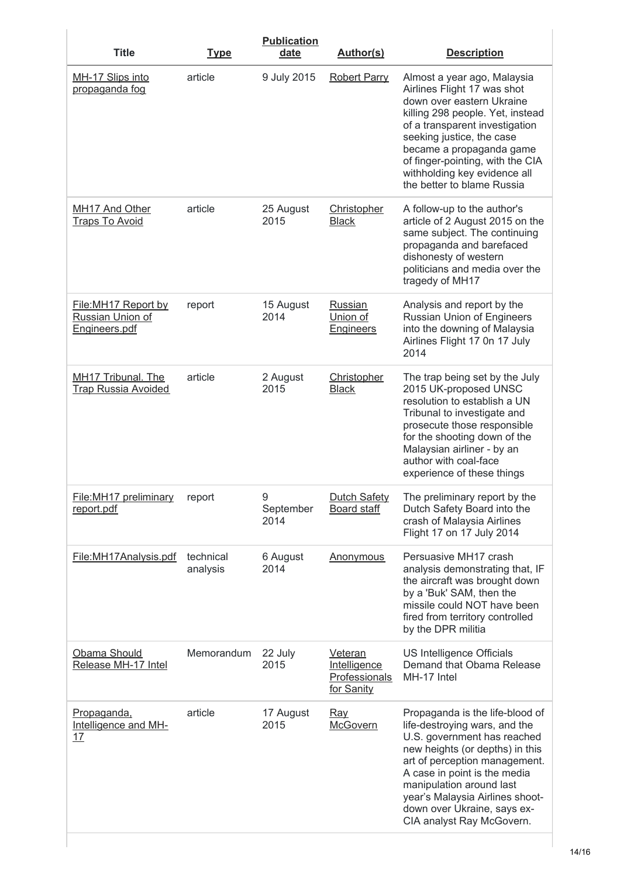| <b>Title</b>                                              | <b>Type</b>           | <b>Publication</b><br>date | <b>Author(s)</b>                                       | <b>Description</b>                                                                                                                                                                                                                                                                                                             |
|-----------------------------------------------------------|-----------------------|----------------------------|--------------------------------------------------------|--------------------------------------------------------------------------------------------------------------------------------------------------------------------------------------------------------------------------------------------------------------------------------------------------------------------------------|
| MH-17 Slips into<br>propaganda fog                        | article               | 9 July 2015                | <b>Robert Parry</b>                                    | Almost a year ago, Malaysia<br>Airlines Flight 17 was shot<br>down over eastern Ukraine<br>killing 298 people. Yet, instead<br>of a transparent investigation<br>seeking justice, the case<br>became a propaganda game<br>of finger-pointing, with the CIA<br>withholding key evidence all<br>the better to blame Russia       |
| MH17 And Other<br><b>Traps To Avoid</b>                   | article               | 25 August<br>2015          | <b>Christopher</b><br><b>Black</b>                     | A follow-up to the author's<br>article of 2 August 2015 on the<br>same subject. The continuing<br>propaganda and barefaced<br>dishonesty of western<br>politicians and media over the<br>tragedy of MH17                                                                                                                       |
| File: MH17 Report by<br>Russian Union of<br>Engineers.pdf | report                | 15 August<br>2014          | Russian<br>Union of<br><b>Engineers</b>                | Analysis and report by the<br>Russian Union of Engineers<br>into the downing of Malaysia<br>Airlines Flight 17 0n 17 July<br>2014                                                                                                                                                                                              |
| MH17 Tribunal. The<br><b>Trap Russia Avoided</b>          | article               | 2 August<br>2015           | Christopher<br><b>Black</b>                            | The trap being set by the July<br>2015 UK-proposed UNSC<br>resolution to establish a UN<br>Tribunal to investigate and<br>prosecute those responsible<br>for the shooting down of the<br>Malaysian airliner - by an<br>author with coal-face<br>experience of these things                                                     |
| File: MH17 preliminary<br>report.pdf                      | report                | 9<br>September<br>2014     | Dutch Safety<br>Board staff                            | The preliminary report by the<br>Dutch Safety Board into the<br>crash of Malaysia Airlines<br>Flight 17 on 17 July 2014                                                                                                                                                                                                        |
| File: MH17Analysis.pdf                                    | technical<br>analysis | 6 August<br>2014           | <b>Anonymous</b>                                       | Persuasive MH17 crash<br>analysis demonstrating that, IF<br>the aircraft was brought down<br>by a 'Buk' SAM, then the<br>missile could NOT have been<br>fired from territory controlled<br>by the DPR militia                                                                                                                  |
| Obama Should<br>Release MH-17 Intel                       | Memorandum            | 22 July<br>2015            | Veteran<br>Intelligence<br>Professionals<br>for Sanity | US Intelligence Officials<br>Demand that Obama Release<br>MH-17 Intel                                                                                                                                                                                                                                                          |
| Propaganda,<br>Intelligence and MH-<br>17                 | article               | 17 August<br>2015          | <u>Ray</u><br><b>McGovern</b>                          | Propaganda is the life-blood of<br>life-destroying wars, and the<br>U.S. government has reached<br>new heights (or depths) in this<br>art of perception management.<br>A case in point is the media<br>manipulation around last<br>year's Malaysia Airlines shoot-<br>down over Ukraine, says ex-<br>CIA analyst Ray McGovern. |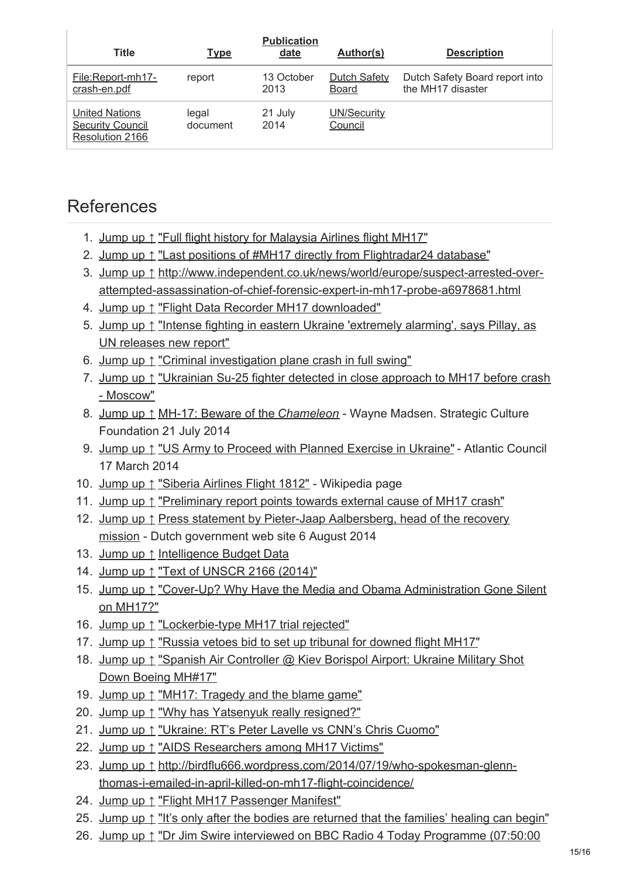| <b>Title</b>                                                        | <b>Type</b>       | <b>Publication</b><br>date | Author(s)                           | <b>Description</b>                                  |
|---------------------------------------------------------------------|-------------------|----------------------------|-------------------------------------|-----------------------------------------------------|
| File:Report-mh17-<br>crash-en.pdf                                   | report            | 13 October<br>2013         | <b>Dutch Safety</b><br><b>Board</b> | Dutch Safety Board report into<br>the MH17 disaster |
| <b>United Nations</b><br><b>Security Council</b><br>Resolution 2166 | legal<br>document | 21 July<br>2014            | UN/Security<br>Council              |                                                     |

## References

- <span id="page-14-0"></span>1. [Jump](#page-1-0) up ↑ "Full flight history for [Malaysia](http://www.flightradar24.com/data/flights/mh17/#3d6095b) Airlines flight MH17"
- <span id="page-14-1"></span>2. [Jump](#page-1-1) up ↑ "Last positions of #MH17 directly from [Flightradar24](https://twitter.com/flightradar24/status/489806795725348864/photo/1) database"
- <span id="page-14-2"></span>3. [Jump](#page-1-2) up ↑ http://www.independent.co.uk/news/world/europe/suspect-arrested-over[attempted-assassination-of-chief-forensic-expert-in-mh17-probe-a6978681.html](http://www.independent.co.uk/news/world/europe/suspect-arrested-over-attempted-assassination-of-chief-forensic-expert-in-mh17-probe-a6978681.html)
- <span id="page-14-3"></span>4. [Jump](#page-1-3) up ↑ "Flight Data Recorder MH17 [downloaded"](http://www.onderzoeksraad.nl/en/onderzoek/2049/investigation-crash-mh17-17-july-2014/onderzoek/1549/data-flight-data-recorder-mh17-downloaded#fasen)
- <span id="page-14-4"></span>5. [Jump](#page-1-4) up ↑ "Intense fighting in eastern Ukraine ['extremely](http://www.ohchr.org/EN/NewsEvents/Pages/DisplayNews.aspx?NewsID=14908&LangID=E) alarming', says Pillay, as UN releases new report"
- <span id="page-14-5"></span>6. [Jump](#page-1-5) up ↑ "Criminal [investigation](https://wikispooks.com/wiki/Criminal_investigation_stmt) plane crash in full swing"
- <span id="page-14-6"></span>7. [Jump](#page-2-0) up ↑ ["Ukrainian](http://rt.com/news/174412-malaysia-plane-russia-ukraine/) Su-25 fighter detected in close approach to MH17 before crash - Moscow"
- <span id="page-14-7"></span>8. [Jump](#page-2-1) up ↑ MH-17: Beware of the *[Chameleon](http://www.strategic-culture.org/pview/2014/07/21/mh-17-beware-of-the-chameleon.html)* - Wayne Madsen. Strategic Culture Foundation 21 July 2014
- <span id="page-14-8"></span>9. [Jump](#page-2-2) up ↑ "US Army to Proceed with Planned [Exercise](http://www.atlanticcouncil.org/blogs/natosource/us-army-to-proceed-with-planned-exercise-in-ukraine) in Ukraine" - Atlantic Council 17 March 2014
- <span id="page-14-9"></span>10. [Jump](#page-2-3) up ↑ ["Siberia](http://en.wikipedia.org/wiki/Siberia_Airlines_Flight_1812) Airlines Flight 1812" - Wikipedia page
- <span id="page-14-10"></span>11. [Jump](#page-3-0) up ↑ ["Preliminary](http://www.onderzoeksraad.nl/en/onderzoek/2049/investigation-crash-mh17-17-july-2014/preliminary-report/1562/preliminary-report-points-towards-external-cause-of-mh17-crash#fasen) report points towards external cause of MH17 crash"
- <span id="page-14-11"></span>12. [Jump](#page-4-0) up ↑ Press statement by Pieter-Jaap [Aalbersberg,](http://www.government.nl/news/2014/08/06/press-statement-by-pieter-jaap-aalbersberg-head-of-the-recovery-mission.html) head of the recovery mission - Dutch government web site 6 August 2014
- <span id="page-14-12"></span>13. [Jump](#page-5-0) up ↑ [Intelligence](http://fas.org/irp/budget/) Budget Data
- <span id="page-14-13"></span>14. [Jump](#page-6-0) up ↑ "Text of [UNSCR](http://www.un.org/en/ga/search/view_doc.asp?symbol=S/RES/2166(2014)) 2166 (2014)"
- <span id="page-14-14"></span>15. [Jump](#page-7-0) up ↑ "Cover-Up? Why Have the Media and Obama [Administration](http://www.globalresearch.ca/cover-up-why-have-the-media-and-obama-administration-gone-silent-on-mh17/5396372) Gone Silent on MH17?"
- <span id="page-14-15"></span>16. [Jump](#page-7-1) up ↑ ["Lockerbie-type](https://www.facebook.com/groups/indefenceofpublicsector/1639777916239262/) MH17 trial rejected"
- <span id="page-14-16"></span>17. [Jump](#page-7-2) up ↑ "Russia vetoes bid to set up tribunal for [downed](http://www.telegraph.co.uk/news/worldnews/europe/netherlands/11771299/Putin-rejects-Dutch-plea-to-support-creation-of-MH17-tribunal.html) flight MH17"
- <span id="page-14-17"></span>18. [Jump](#page-8-0) up ↑ "Spanish Air [Controller](http://www.globalresearch.ca/spanish-air-controller-kiev-borispol-airport-ukraine-military-shot-down-boeing-mh17/5391888) @ Kiev Borispol Airport: Ukraine Military Shot Down Boeing MH#17"
- <span id="page-14-18"></span>19. [Jump](#page-9-0) up ↑ "MH17: [Tragedy](http://voiceofrussia.com/uk/news/2014_07_23/MH17-Tragedy-and-the-blame-game-1232/) and the blame game"
- <span id="page-14-19"></span>20. [Jump](#page-9-1) up ↑ "Why has [Yatsenyuk](http://johngossip.blogspot.co.uk/2014/07/why-has-yatsenyuk-really-resigned.html) really resigned?"
- <span id="page-14-20"></span>21. [Jump](#page-11-0) up ↑ ["Ukraine:](http://rt.com/op-edge/175620-mh17-tragedy-war-urkaine/) RT's Peter Lavelle vs CNN's Chris Cuomo"
- <span id="page-14-21"></span>22. [Jump](#page-11-1) up ↑ "AIDS [Researchers](http://www.theguardian.com/world/2014/jul/18/aids-researchers-malaysia-airlines-mh17-crash-australia-victims) among MH17 Victims"
- <span id="page-14-22"></span>23. [Jump](#page-11-2) up ↑ [http://birdflu666.wordpress.com/2014/07/19/who-spokesman-glenn](http://birdflu666.wordpress.com/2014/07/19/who-spokesman-glenn-thomas-i-emailed-in-april-killed-on-mh17-flight-coincidence/)thomas-i-emailed-in-april-killed-on-mh17-flight-coincidence/
- <span id="page-14-23"></span>24. [Jump](#page-11-3) up ↑ "Flight MH17 [Passenger](http://web.archive.org/web/20140719202751/http://www.malaysiaairlines.com/content/dam/malaysia-airlines/mas/PDF/MH17/MH17 PAX AND CREW MANIFEST.pdf) Manifest"
- <span id="page-14-24"></span>25. [Jump](#page-12-0) up ↑ "It's only after the bodies are [returned](http://www.telegraph.co.uk/news/worldnews/europe/ukraine/10985807/Its-only-after-the-bodies-are-returned-that-the-families-healing-can-begin.html) that the families' healing can begin"
- <span id="page-14-25"></span>26. [Jump](#page-12-1) up ↑ "Dr Jim Swire interviewed on BBC Radio 4 Today [Programme](http://www.bbc.co.uk/programmes/b04b1zlh) (07:50:00